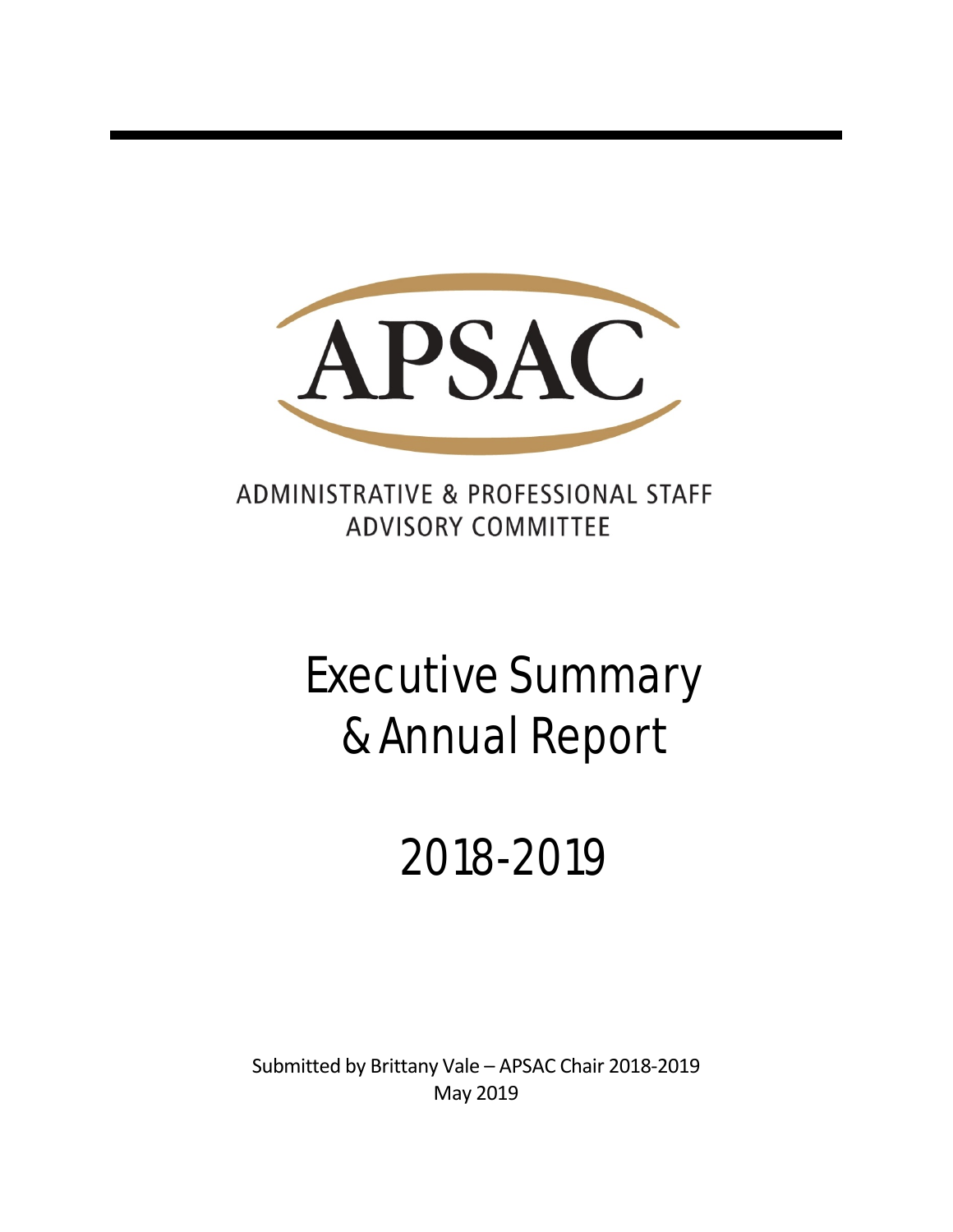

ADMINISTRATIVE & PROFESSIONAL STAFF **ADVISORY COMMITTEE** 

# Executive Summary & Annual Report

# 2018-2019

Submitted by Brittany Vale – APSAC Chair 2018-2019 May 2019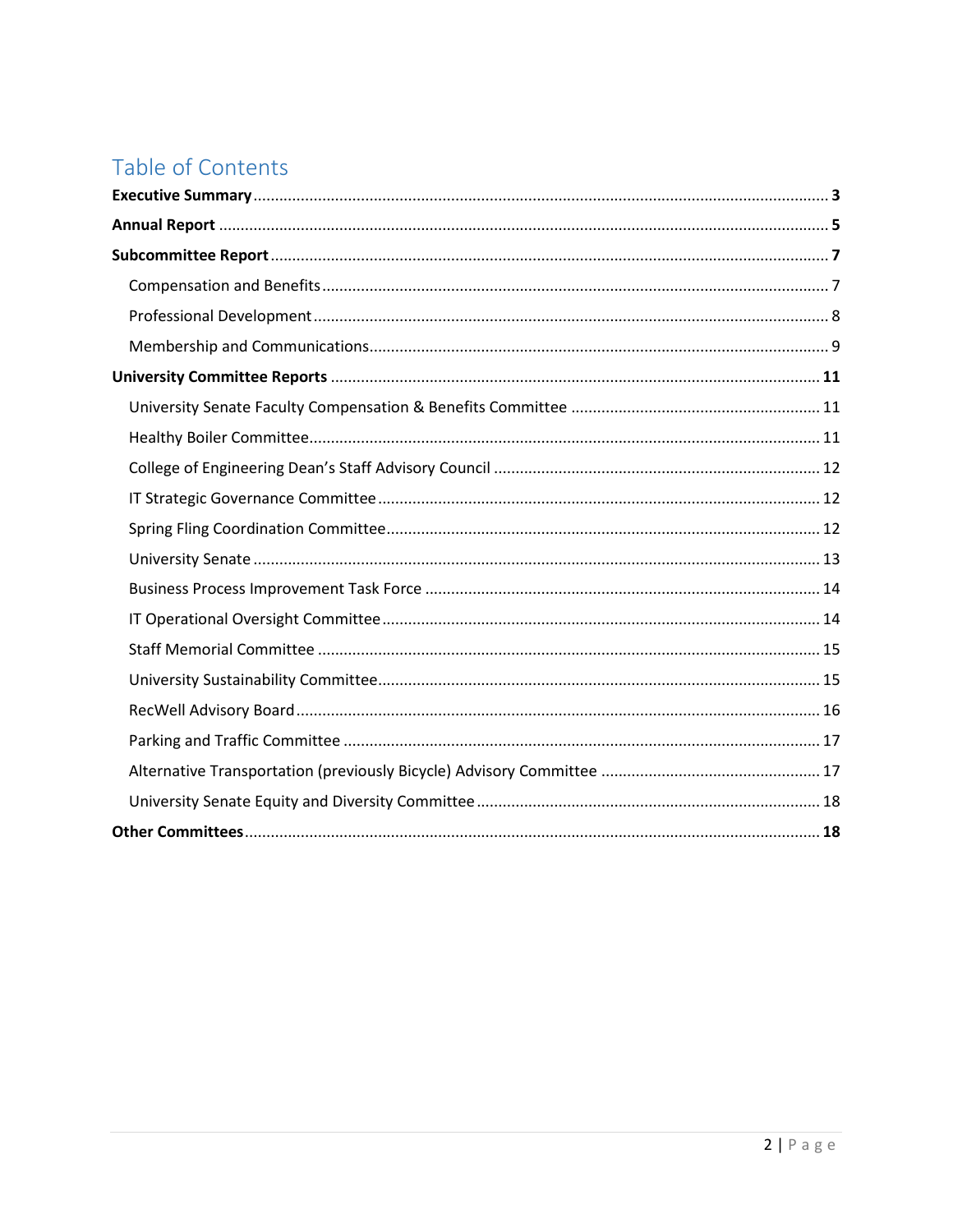# Table of Contents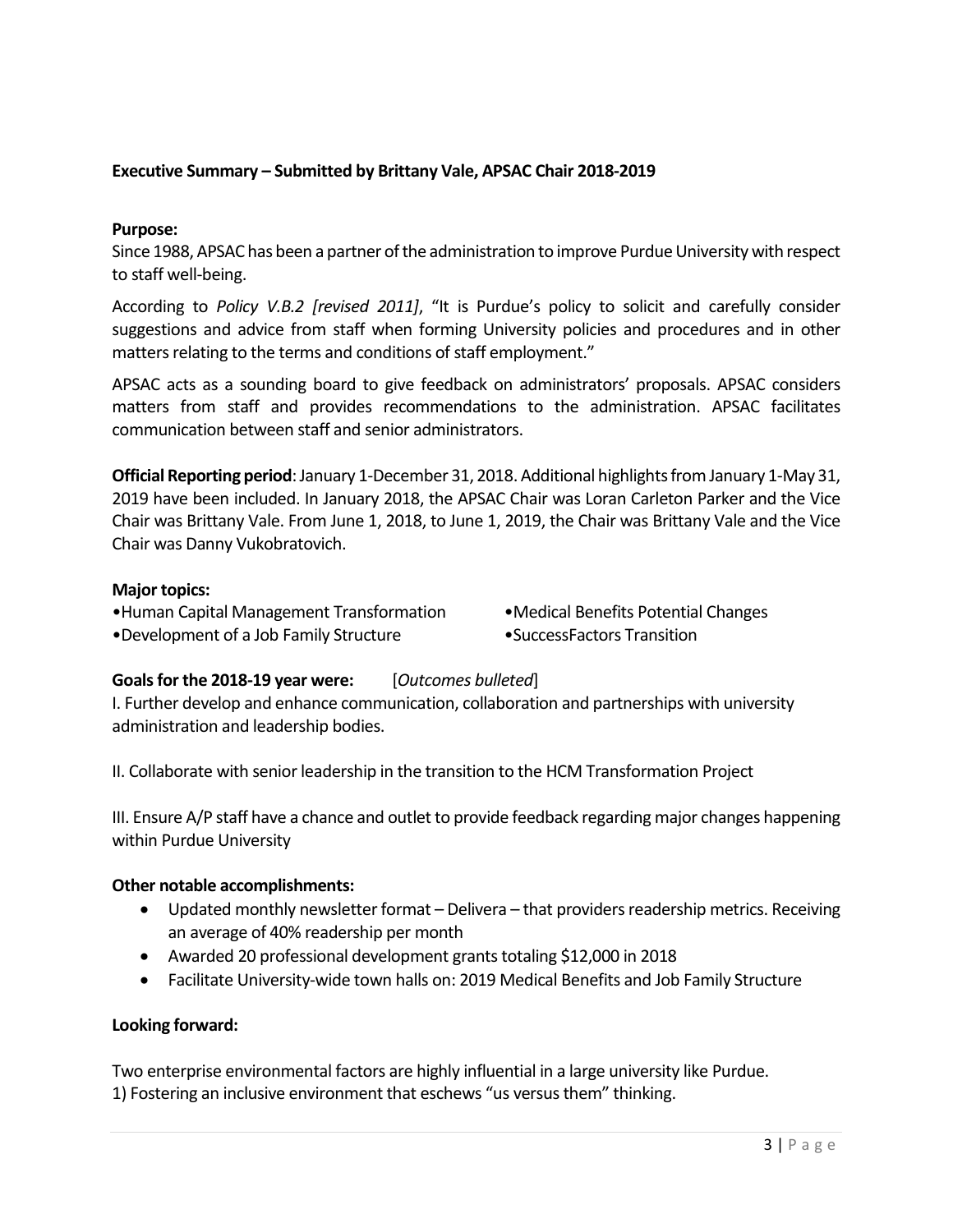# **Executive Summary – Submitted by Brittany Vale, APSAC Chair 2018-2019**

# **Purpose:**

Since 1988, APSAC has been a partner of the administration to improve Purdue University with respect to staff well-being.

According to *Policy V.B.2 [revised 2011]*, "It is Purdue's policy to solicit and carefully consider suggestions and advice from staff when forming University policies and procedures and in other matters relating to the terms and conditions of staff employment."

APSAC acts as a sounding board to give feedback on administrators' proposals. APSAC considers matters from staff and provides recommendations to the administration. APSAC facilitates communication between staff and senior administrators.

**Official Reporting period**: January 1-December 31, 2018. Additional highlights from January 1-May 31, 2019 have been included. In January 2018, the APSAC Chair was Loran Carleton Parker and the Vice Chair was Brittany Vale. From June 1, 2018, to June 1, 2019, the Chair was Brittany Vale and the Vice Chair was Danny Vukobratovich.

# **Major topics:**

- •Human Capital Management Transformation •Medical Benefits Potential Changes •Development of a Job Family Structure • • • • SuccessFactors Transition
- -

# **Goals for the 2018-19 year were:** [*Outcomes bulleted*]

I. Further develop and enhance communication, collaboration and partnerships with university administration and leadership bodies.

II. Collaborate with senior leadership in the transition to the HCM Transformation Project

III. Ensure A/P staff have a chance and outlet to provide feedback regarding major changes happening within Purdue University

# **Other notable accomplishments:**

- Updated monthly newsletter format Delivera that providers readership metrics. Receiving an average of 40% readership per month
- Awarded 20 professional development grants totaling \$12,000 in 2018
- Facilitate University-wide town halls on: 2019 Medical Benefits and Job Family Structure

# **Looking forward:**

Two enterprise environmental factors are highly influential in a large university like Purdue. 1) Fostering an inclusive environment that eschews "us versus them" thinking.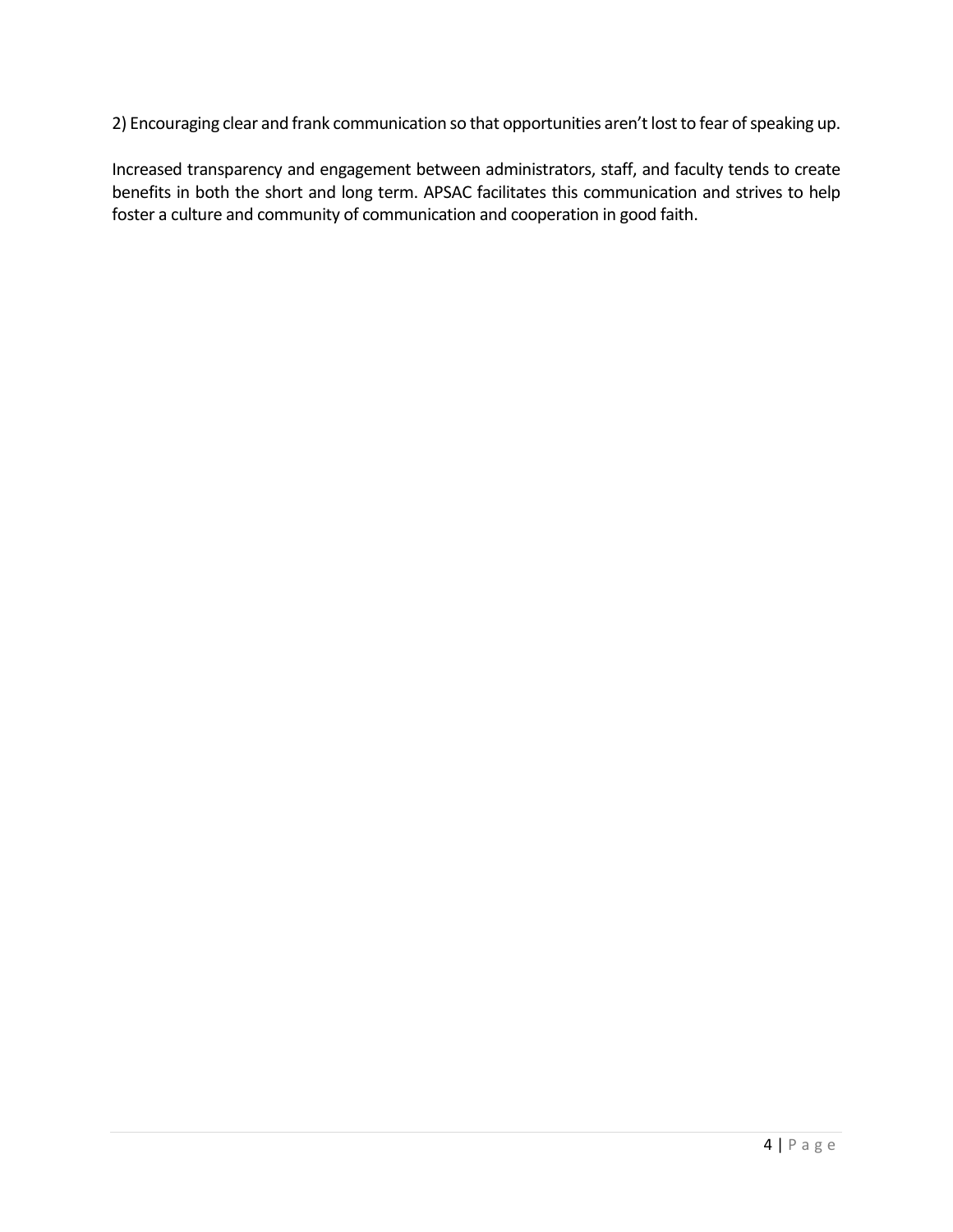2) Encouraging clear and frank communication so that opportunities aren't lost to fear of speaking up.

Increased transparency and engagement between administrators, staff, and faculty tends to create benefits in both the short and long term. APSAC facilitates this communication and strives to help foster a culture and community of communication and cooperation in good faith.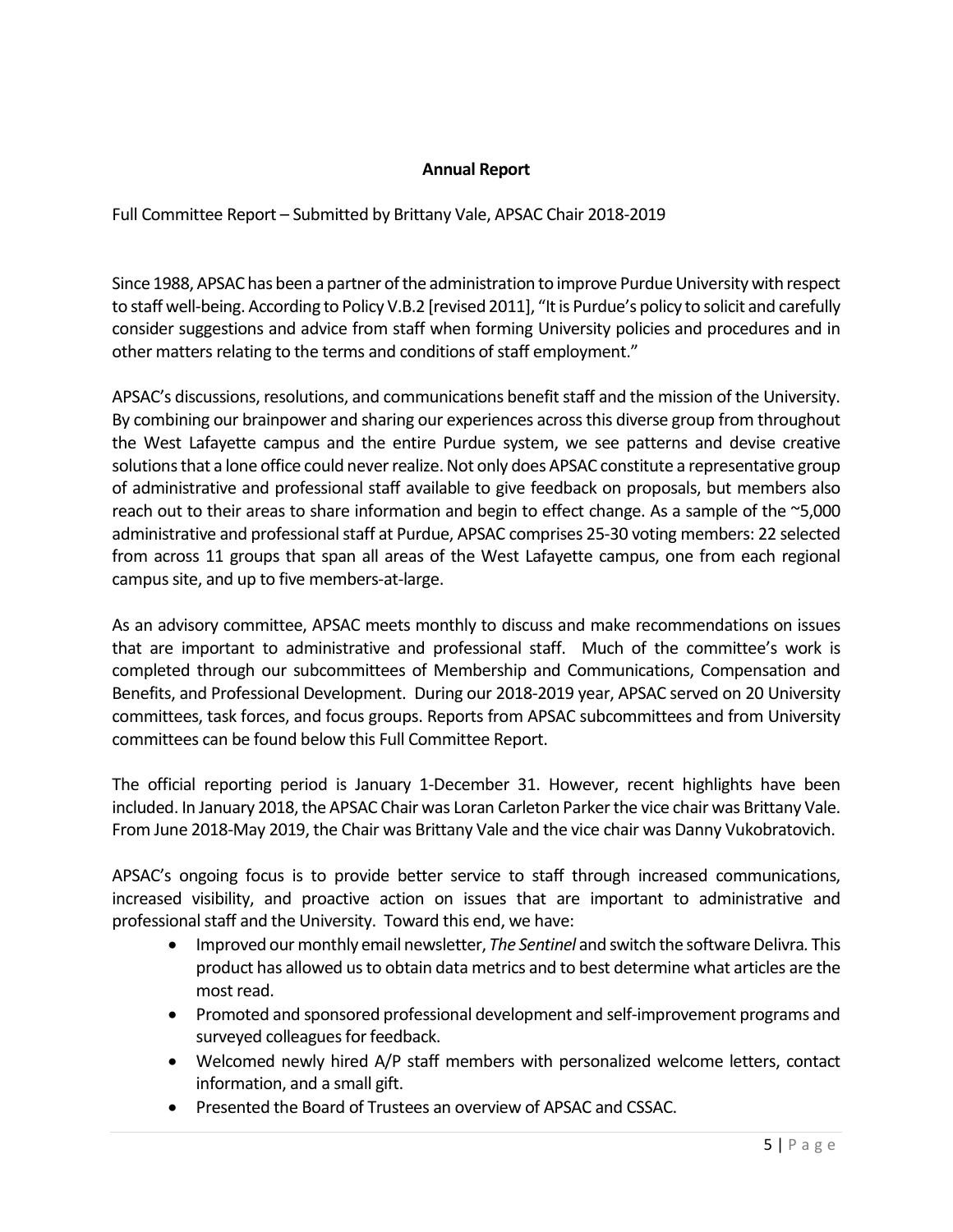# **Annual Report**

Full Committee Report – Submitted by Brittany Vale, APSAC Chair 2018-2019

Since 1988, APSAC has been a partner of the administration to improve Purdue University with respect to staff well-being. According to Policy V.B.2 [revised 2011], "It is Purdue's policy to solicit and carefully consider suggestions and advice from staff when forming University policies and procedures and in other matters relating to the terms and conditions of staff employment."

APSAC's discussions, resolutions, and communications benefit staff and the mission of the University. By combining our brainpower and sharing our experiences across this diverse group from throughout the West Lafayette campus and the entire Purdue system, we see patterns and devise creative solutions that a lone office could never realize. Not only does APSAC constitute a representative group of administrative and professional staff available to give feedback on proposals, but members also reach out to their areas to share information and begin to effect change. As a sample of the ~5,000 administrative and professional staff at Purdue, APSAC comprises 25-30 voting members: 22 selected from across 11 groups that span all areas of the West Lafayette campus, one from each regional campus site, and up to five members-at-large.

As an advisory committee, APSAC meets monthly to discuss and make recommendations on issues that are important to administrative and professional staff. Much of the committee's work is completed through our subcommittees of Membership and Communications, Compensation and Benefits, and Professional Development. During our 2018-2019 year, APSAC served on 20 University committees, task forces, and focus groups. Reports from APSAC subcommittees and from University committees can be found below this Full Committee Report.

The official reporting period is January 1-December 31. However, recent highlights have been included. In January 2018, the APSAC Chair was Loran Carleton Parker the vice chair was Brittany Vale. From June 2018-May 2019, the Chair was Brittany Vale and the vice chair was Danny Vukobratovich.

APSAC's ongoing focus is to provide better service to staff through increased communications, increased visibility, and proactive action on issues that are important to administrative and professional staff and the University. Toward this end, we have:

- Improved our monthly email newsletter, *The Sentinel* and switch the software Delivra*.* This product has allowed us to obtain data metrics and to best determine what articles are the most read.
- Promoted and sponsored professional development and self-improvement programs and surveyed colleagues for feedback.
- Welcomed newly hired A/P staff members with personalized welcome letters, contact information, and a small gift.
- Presented the Board of Trustees an overview of APSAC and CSSAC.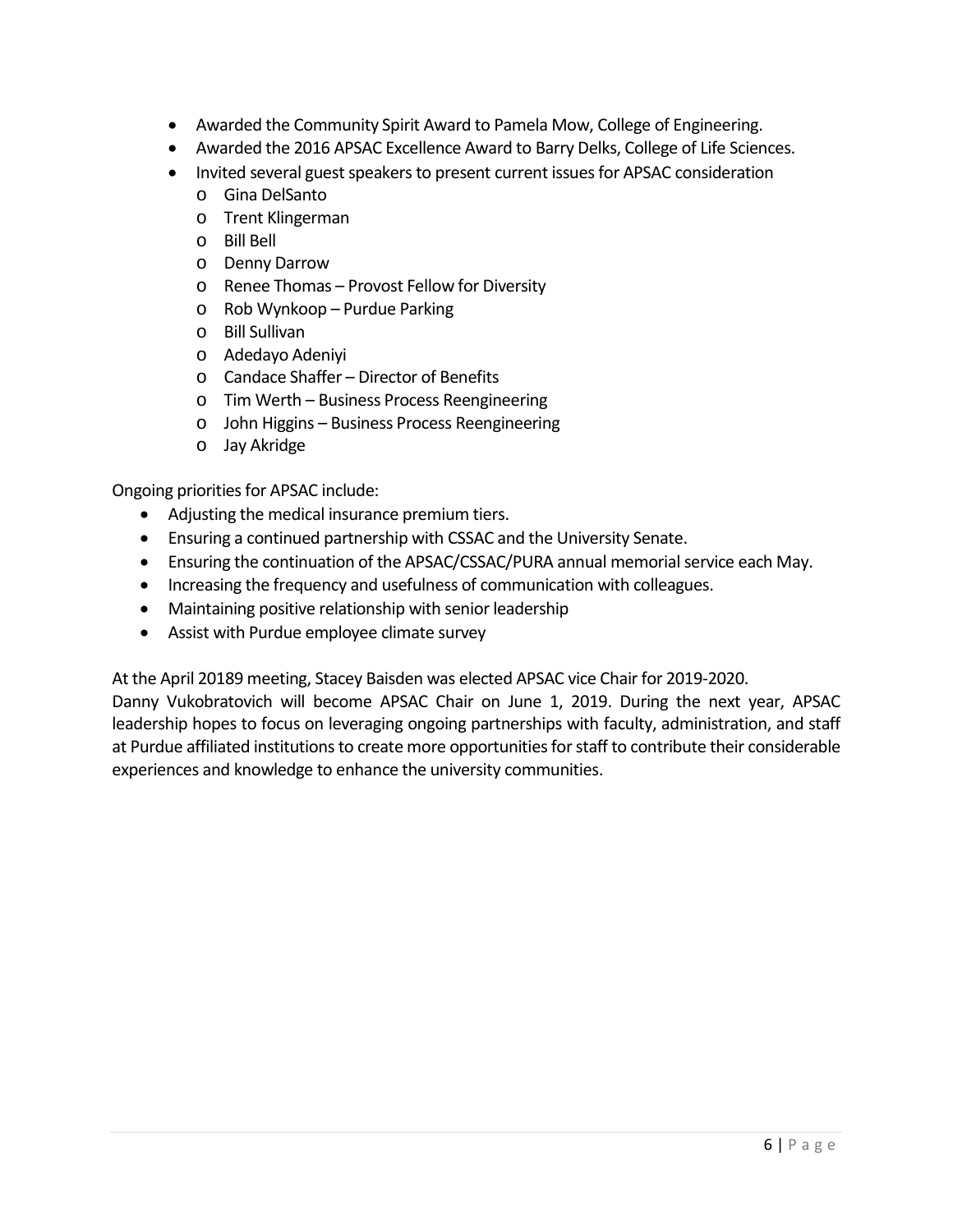- Awarded the Community Spirit Award to Pamela Mow, College of Engineering.
- Awarded the 2016 APSAC Excellence Award to Barry Delks, College of Life Sciences.
- Invited several guest speakers to present current issues for APSAC consideration
	- o Gina DelSanto
	- o Trent Klingerman
	- o Bill Bell
	- o Denny Darrow
	- o Renee Thomas Provost Fellow for Diversity
	- o Rob Wynkoop Purdue Parking
	- o Bill Sullivan
	- o Adedayo Adeniyi
	- o Candace Shaffer Director of Benefits
	- o Tim Werth Business Process Reengineering
	- o John Higgins Business Process Reengineering
	- o Jay Akridge

Ongoing priorities for APSAC include:

- Adjusting the medical insurance premium tiers.
- Ensuring a continued partnership with CSSAC and the University Senate.
- Ensuring the continuation of the APSAC/CSSAC/PURA annual memorial service each May.
- Increasing the frequency and usefulness of communication with colleagues.
- Maintaining positive relationship with senior leadership
- Assist with Purdue employee climate survey

At the April 20189 meeting, Stacey Baisden was elected APSAC vice Chair for 2019-2020.

Danny Vukobratovich will become APSAC Chair on June 1, 2019. During the next year, APSAC leadership hopes to focus on leveraging ongoing partnerships with faculty, administration, and staff at Purdue affiliated institutions to create more opportunities for staff to contribute their considerable experiences and knowledge to enhance the university communities.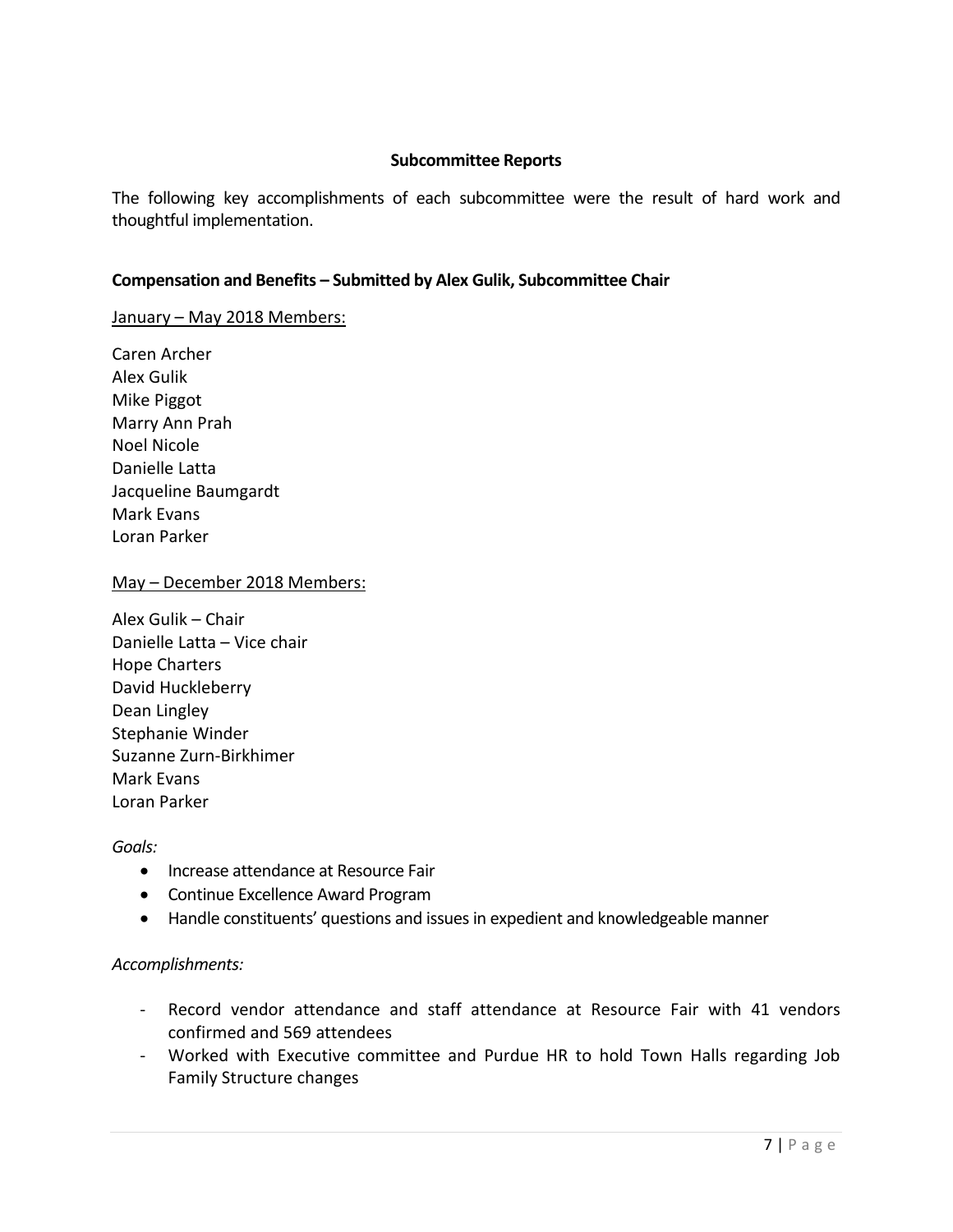#### **Subcommittee Reports**

The following key accomplishments of each subcommittee were the result of hard work and thoughtful implementation.

# **Compensation and Benefits – Submitted by Alex Gulik, Subcommittee Chair**

#### January - May 2018 Members:

Caren Archer Alex Gulik Mike Piggot Marry Ann Prah Noel Nicole Danielle Latta Jacqueline Baumgardt Mark Evans Loran Parker

#### May – December 2018 Members:

Alex Gulik – Chair Danielle Latta – Vice chair Hope Charters David Huckleberry Dean Lingley Stephanie Winder Suzanne Zurn-Birkhimer Mark Evans Loran Parker

#### *Goals:*

- Increase attendance at Resource Fair
- Continue Excellence Award Program
- Handle constituents' questions and issues in expedient and knowledgeable manner

# *Accomplishments:*

- Record vendor attendance and staff attendance at Resource Fair with 41 vendors confirmed and 569 attendees
- Worked with Executive committee and Purdue HR to hold Town Halls regarding Job Family Structure changes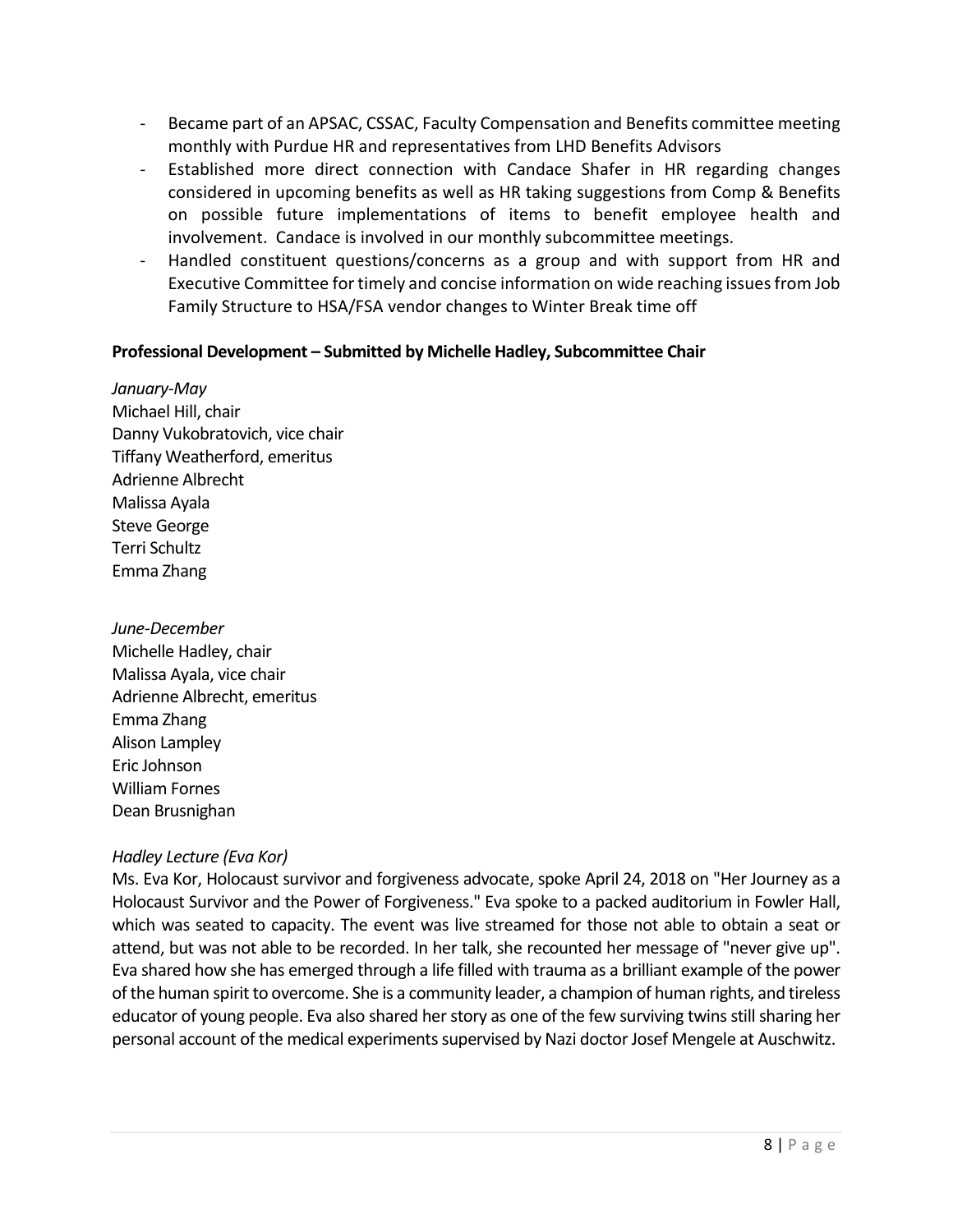- Became part of an APSAC, CSSAC, Faculty Compensation and Benefits committee meeting monthly with Purdue HR and representatives from LHD Benefits Advisors
- Established more direct connection with Candace Shafer in HR regarding changes considered in upcoming benefits as well as HR taking suggestions from Comp & Benefits on possible future implementations of items to benefit employee health and involvement. Candace is involved in our monthly subcommittee meetings.
- Handled constituent questions/concerns as a group and with support from HR and Executive Committee for timely and concise information on wide reaching issues from Job Family Structure to HSA/FSA vendor changes to Winter Break time off

# **Professional Development – Submitted by Michelle Hadley, Subcommittee Chair**

*January-May* Michael Hill, chair Danny Vukobratovich, vice chair Tiffany Weatherford, emeritus Adrienne Albrecht Malissa Ayala Steve George Terri Schultz Emma Zhang

*June-December* Michelle Hadley, chair Malissa Ayala, vice chair Adrienne Albrecht, emeritus Emma Zhang Alison Lampley Eric Johnson William Fornes Dean Brusnighan

# *Hadley Lecture (Eva Kor)*

Ms. Eva Kor, Holocaust survivor and forgiveness advocate, spoke April 24, 2018 on "Her Journey as a Holocaust Survivor and the Power of Forgiveness." Eva spoke to a packed auditorium in Fowler Hall, which was seated to capacity. The event was live streamed for those not able to obtain a seat or attend, but was not able to be recorded. In her talk, she recounted her message of "never give up". Eva shared how she has emerged through a life filled with trauma as a brilliant example of the power of the human spirit to overcome. She is a community leader, a champion of human rights, and tireless educator of young people. Eva also shared her story as one of the few surviving twins still sharing her personal account of the medical experiments supervised by Nazi doctor Josef Mengele at Auschwitz.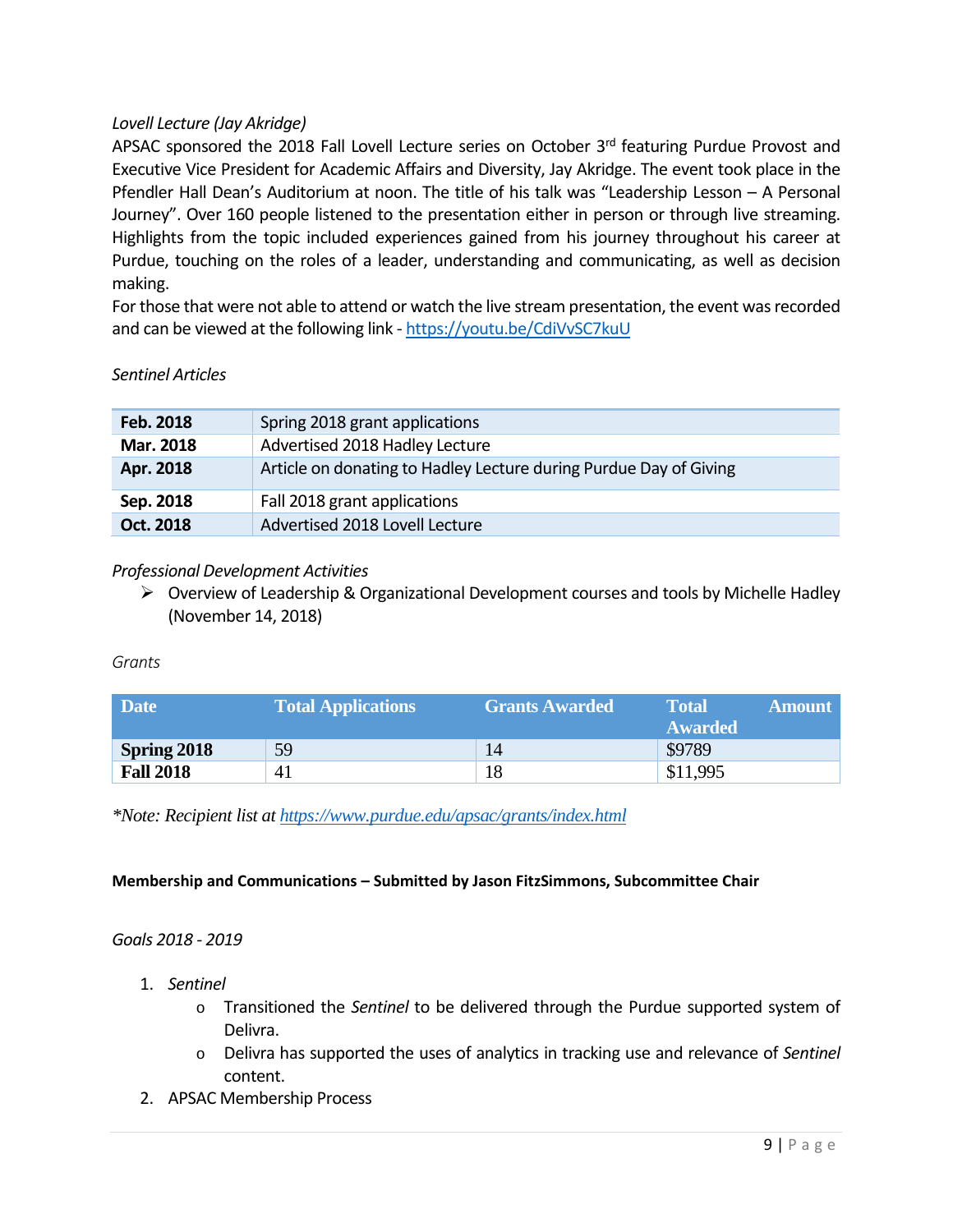# *Lovell Lecture (Jay Akridge)*

APSAC sponsored the 2018 Fall Lovell Lecture series on October 3rd featuring Purdue Provost and Executive Vice President for Academic Affairs and Diversity, Jay Akridge. The event took place in the Pfendler Hall Dean's Auditorium at noon. The title of his talk was "Leadership Lesson – A Personal Journey". Over 160 people listened to the presentation either in person or through live streaming. Highlights from the topic included experiences gained from his journey throughout his career at Purdue, touching on the roles of a leader, understanding and communicating, as well as decision making.

For those that were not able to attend or watch the live stream presentation, the event was recorded and can be viewed at the following link - <https://youtu.be/CdiVvSC7kuU>

# *Sentinel Articles*

| Feb. 2018 | Spring 2018 grant applications                                    |
|-----------|-------------------------------------------------------------------|
| Mar. 2018 | Advertised 2018 Hadley Lecture                                    |
| Apr. 2018 | Article on donating to Hadley Lecture during Purdue Day of Giving |
| Sep. 2018 | Fall 2018 grant applications                                      |
| Oct. 2018 | Advertised 2018 Lovell Lecture                                    |

# *Professional Development Activities*

 $\triangleright$  Overview of Leadership & Organizational Development courses and tools by Michelle Hadley (November 14, 2018)

*Grants*

| <b>Date</b>      | <b>Total Applications</b> | <b>Grants Awarded</b> | Total<br><b>Amount</b><br><b>Awarded</b> |
|------------------|---------------------------|-----------------------|------------------------------------------|
| Spring 2018      | 59                        | 14                    | \$9789                                   |
| <b>Fall 2018</b> | 41                        | 18                    | \$11,995                                 |

*\*Note: Recipient list a[t https://www.purdue.edu/apsac/grants/index.html](https://www.purdue.edu/apsac/grants/index.html)*

# **Membership and Communications – Submitted by Jason FitzSimmons, Subcommittee Chair**

# *Goals 2018 - 2019*

- 1. *Sentinel*
	- o Transitioned the *Sentinel* to be delivered through the Purdue supported system of Delivra.
	- o Delivra has supported the uses of analytics in tracking use and relevance of *Sentinel* content.
- 2. APSAC Membership Process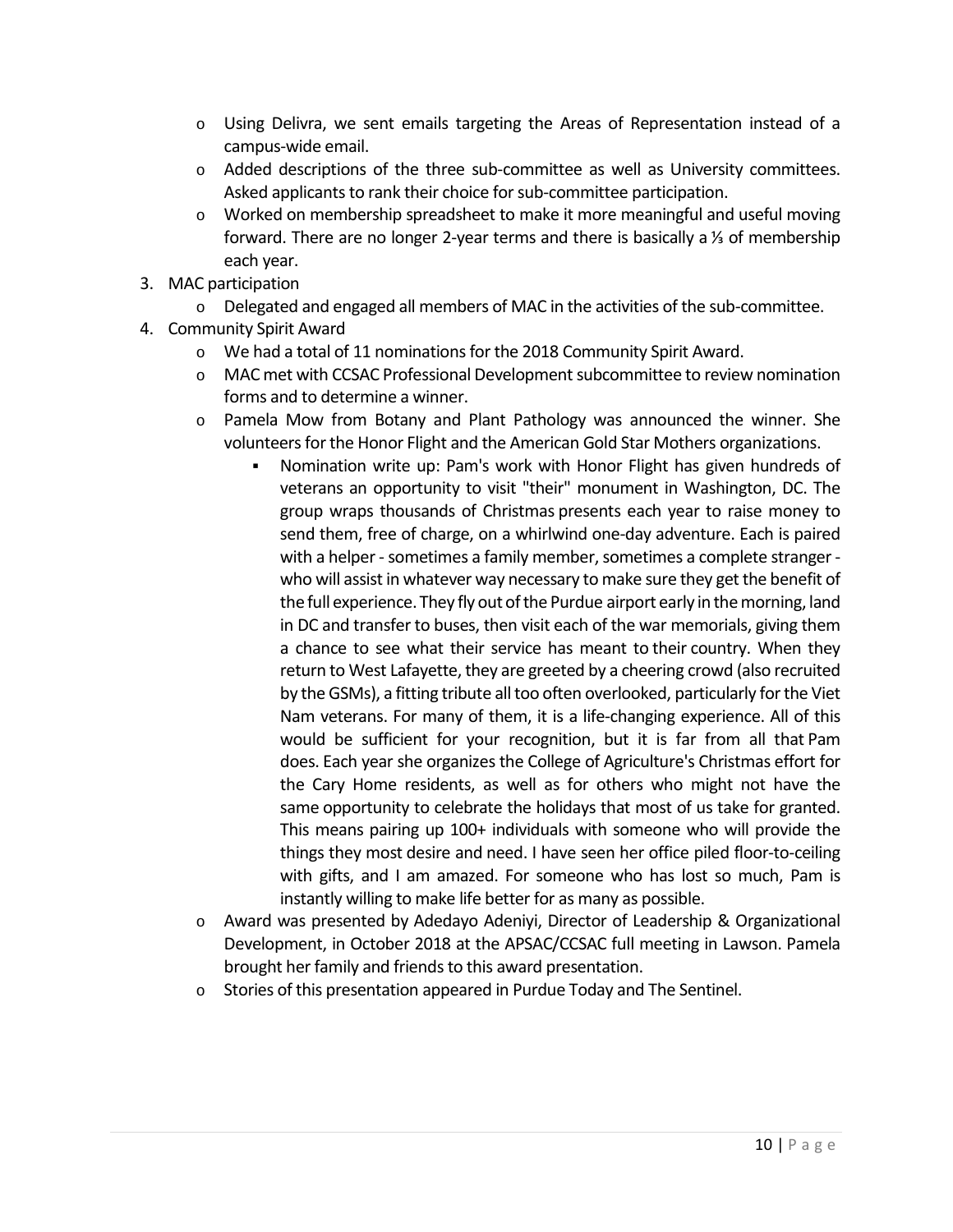- o Using Delivra, we sent emails targeting the Areas of Representation instead of a campus-wide email.
- o Added descriptions of the three sub-committee as well as University committees. Asked applicants to rank their choice for sub-committee participation.
- o Worked on membership spreadsheet to make it more meaningful and useful moving forward. There are no longer 2-year terms and there is basically a ⅓ of membership each year.
- 3. MAC participation
	- o Delegated and engaged all members of MAC in the activities of the sub-committee.
- 4. Community Spirit Award
	- $\circ$  We had a total of 11 nominations for the 2018 Community Spirit Award.
	- o MAC met with CCSAC Professional Development subcommittee to review nomination forms and to determine a winner.
	- $\circ$  Pamela Mow from Botany and Plant Pathology was announced the winner. She volunteers for the Honor Flight and the American Gold Star Mothers organizations.
		- Nomination write up: Pam's work with Honor Flight has given hundreds of veterans an opportunity to visit "their" monument in Washington, DC. The group wraps thousands of Christmas presents each year to raise money to send them, free of charge, on a whirlwind one-day adventure. Each is paired with a helper - sometimes a family member, sometimes a complete stranger who will assist in whatever way necessary to make sure they get the benefit of the full experience. They fly out of the Purdue airport early in the morning, land in DC and transfer to buses, then visit each of the war memorials, giving them a chance to see what their service has meant to their country. When they return to West Lafayette, they are greeted by a cheering crowd (also recruited by the GSMs), a fitting tribute all too often overlooked, particularly for the Viet Nam veterans. For many of them, it is a life-changing experience. All of this would be sufficient for your recognition, but it is far from all that Pam does. Each year she organizes the College of Agriculture's Christmas effort for the Cary Home residents, as well as for others who might not have the same opportunity to celebrate the holidays that most of us take for granted. This means pairing up 100+ individuals with someone who will provide the things they most desire and need. I have seen her office piled floor-to-ceiling with gifts, and I am amazed. For someone who has lost so much, Pam is instantly willing to make life better for as many as possible.
	- o Award was presented by Adedayo Adeniyi, Director of Leadership & Organizational Development, in October 2018 at the APSAC/CCSAC full meeting in Lawson. Pamela brought her family and friends to this award presentation.
	- o Stories of this presentation appeared in Purdue Today and The Sentinel.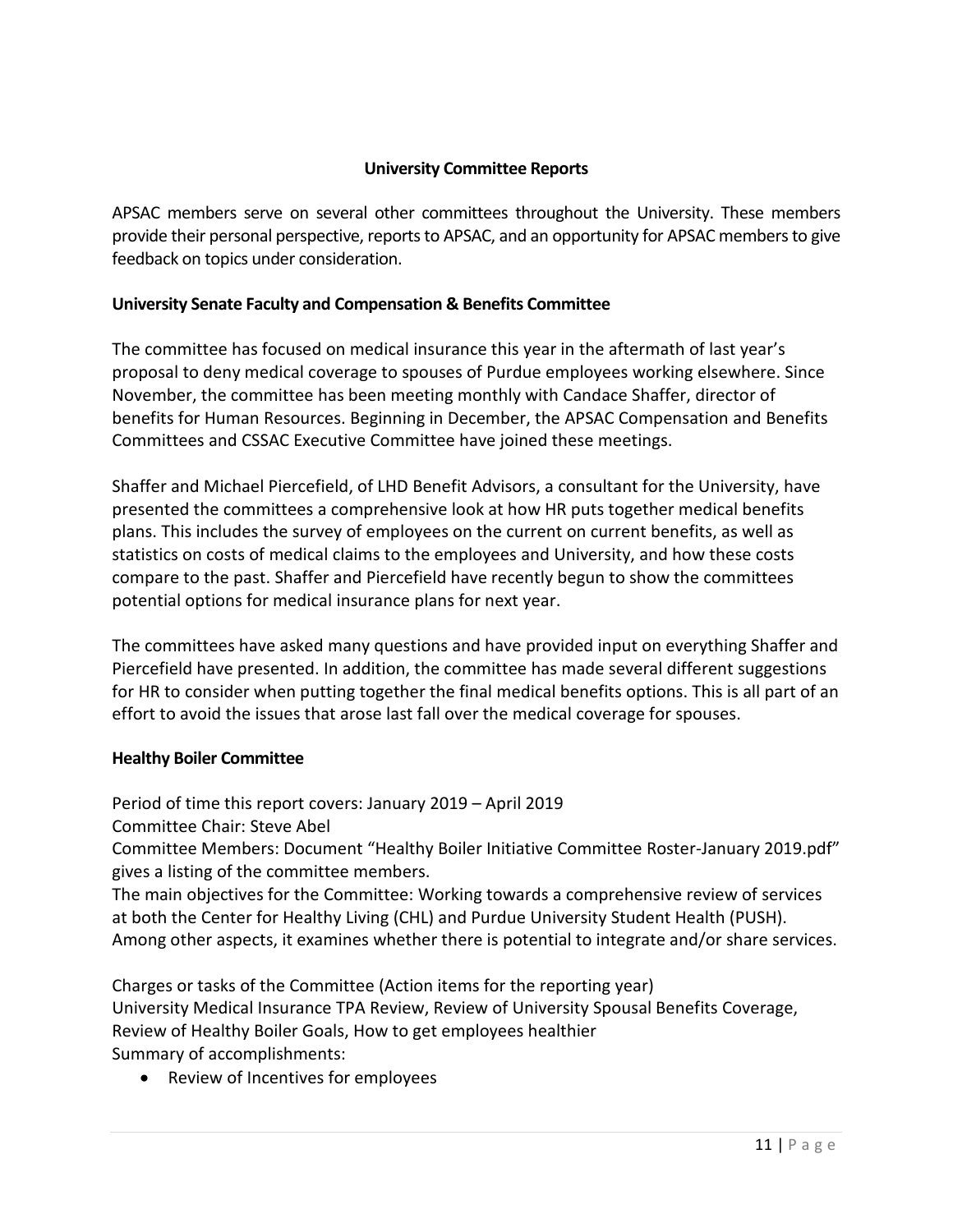# **University Committee Reports**

APSAC members serve on several other committees throughout the University. These members provide their personal perspective, reports to APSAC, and an opportunity for APSAC members to give feedback on topics under consideration.

# **University Senate Faculty and Compensation & Benefits Committee**

The committee has focused on medical insurance this year in the aftermath of last year's proposal to deny medical coverage to spouses of Purdue employees working elsewhere. Since November, the committee has been meeting monthly with Candace Shaffer, director of benefits for Human Resources. Beginning in December, the APSAC Compensation and Benefits Committees and CSSAC Executive Committee have joined these meetings.

Shaffer and Michael Piercefield, of LHD Benefit Advisors, a consultant for the University, have presented the committees a comprehensive look at how HR puts together medical benefits plans. This includes the survey of employees on the current on current benefits, as well as statistics on costs of medical claims to the employees and University, and how these costs compare to the past. Shaffer and Piercefield have recently begun to show the committees potential options for medical insurance plans for next year.

The committees have asked many questions and have provided input on everything Shaffer and Piercefield have presented. In addition, the committee has made several different suggestions for HR to consider when putting together the final medical benefits options. This is all part of an effort to avoid the issues that arose last fall over the medical coverage for spouses.

# **Healthy Boiler Committee**

Period of time this report covers: January 2019 – April 2019

Committee Chair: Steve Abel

Committee Members: Document "Healthy Boiler Initiative Committee Roster-January 2019.pdf" gives a listing of the committee members.

The main objectives for the Committee: Working towards a comprehensive review of services at both the Center for Healthy Living (CHL) and Purdue University Student Health (PUSH). Among other aspects, it examines whether there is potential to integrate and/or share services.

Charges or tasks of the Committee (Action items for the reporting year) University Medical Insurance TPA Review, Review of University Spousal Benefits Coverage, Review of Healthy Boiler Goals, How to get employees healthier Summary of accomplishments:

• Review of Incentives for employees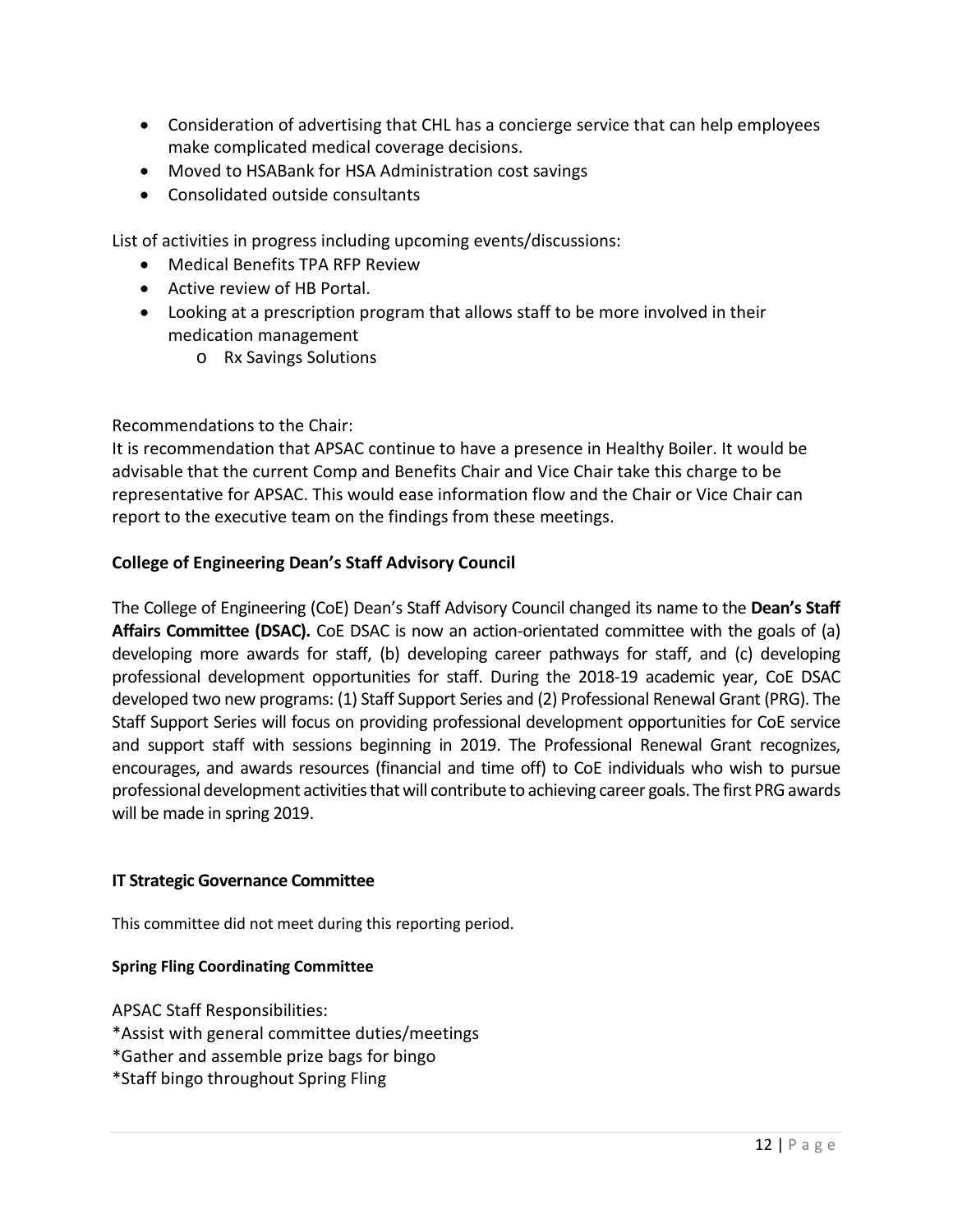- Consideration of advertising that CHL has a concierge service that can help employees make complicated medical coverage decisions.
- Moved to HSABank for HSA Administration cost savings
- Consolidated outside consultants

List of activities in progress including upcoming events/discussions:

- Medical Benefits TPA RFP Review
- Active review of HB Portal.
- Looking at a prescription program that allows staff to be more involved in their medication management
	- o Rx Savings Solutions

# Recommendations to the Chair:

It is recommendation that APSAC continue to have a presence in Healthy Boiler. It would be advisable that the current Comp and Benefits Chair and Vice Chair take this charge to be representative for APSAC. This would ease information flow and the Chair or Vice Chair can report to the executive team on the findings from these meetings.

# **College of Engineering Dean's Staff Advisory Council**

The College of Engineering (CoE) Dean's Staff Advisory Council changed its name to the **Dean's Staff Affairs Committee (DSAC).** CoE DSAC is now an action-orientated committee with the goals of (a) developing more awards for staff, (b) developing career pathways for staff, and (c) developing professional development opportunities for staff. During the 2018-19 academic year, CoE DSAC developed two new programs: (1) Staff Support Series and (2) Professional Renewal Grant (PRG). The Staff Support Series will focus on providing professional development opportunities for CoE service and support staff with sessions beginning in 2019. The Professional Renewal Grant recognizes, encourages, and awards resources (financial and time off) to CoE individuals who wish to pursue professional development activities that will contribute to achieving career goals. The first PRG awards will be made in spring 2019.

# **IT Strategic Governance Committee**

This committee did not meet during this reporting period.

# **Spring Fling Coordinating Committee**

APSAC Staff Responsibilities:

- \*Assist with general committee duties/meetings
- \*Gather and assemble prize bags for bingo
- \*Staff bingo throughout Spring Fling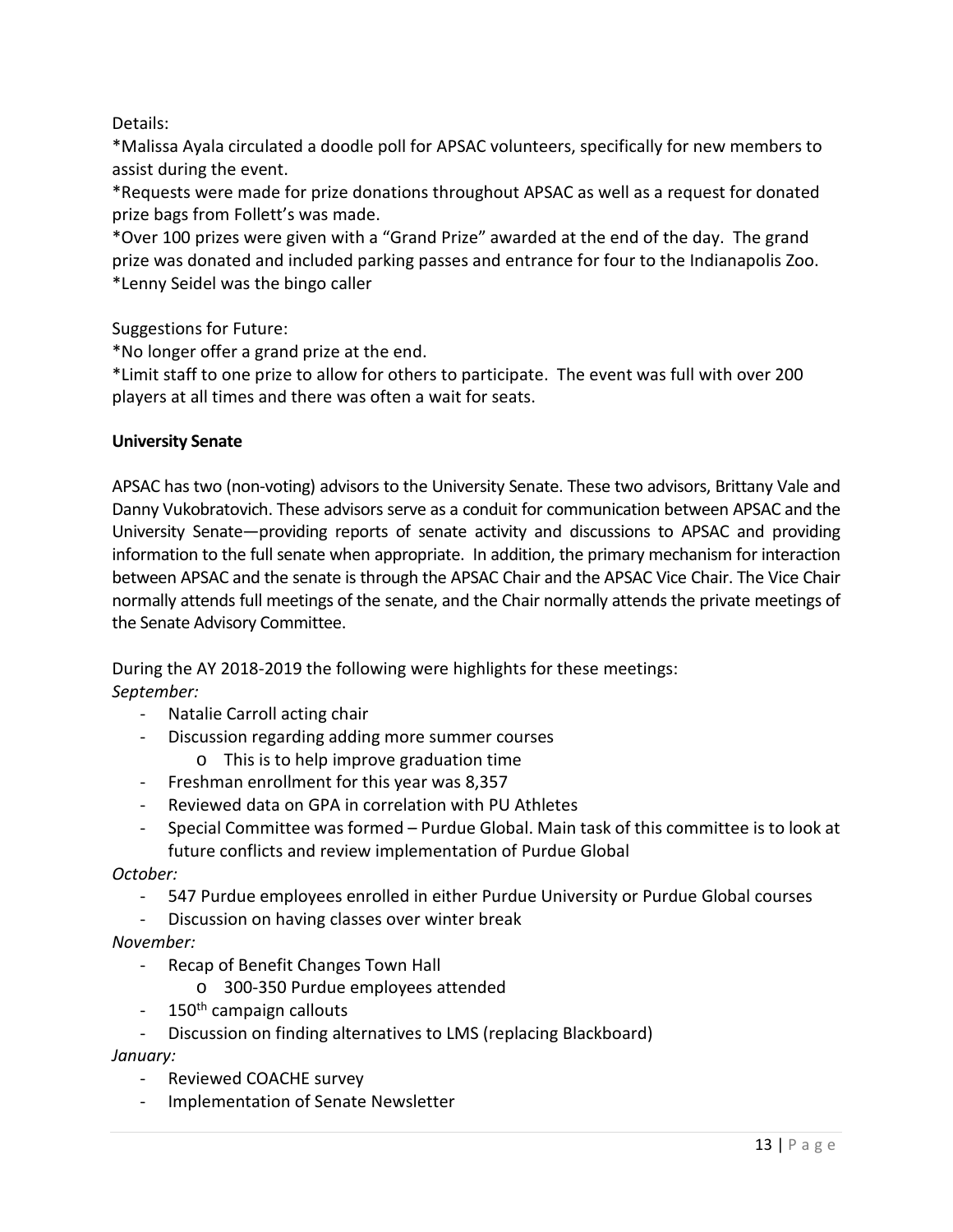Details:

\*Malissa Ayala circulated a doodle poll for APSAC volunteers, specifically for new members to assist during the event.

\*Requests were made for prize donations throughout APSAC as well as a request for donated prize bags from Follett's was made.

\*Over 100 prizes were given with a "Grand Prize" awarded at the end of the day. The grand prize was donated and included parking passes and entrance for four to the Indianapolis Zoo. \*Lenny Seidel was the bingo caller

Suggestions for Future:

\*No longer offer a grand prize at the end.

\*Limit staff to one prize to allow for others to participate. The event was full with over 200 players at all times and there was often a wait for seats.

# **University Senate**

APSAC has two (non-voting) advisors to the University Senate. These two advisors, Brittany Vale and Danny Vukobratovich. These advisors serve as a conduit for communication between APSAC and the University Senate—providing reports of senate activity and discussions to APSAC and providing information to the full senate when appropriate. In addition, the primary mechanism for interaction between APSAC and the senate is through the APSAC Chair and the APSAC Vice Chair. The Vice Chair normally attends full meetings of the senate, and the Chair normally attends the private meetings of the Senate Advisory Committee.

During the AY 2018-2019 the following were highlights for these meetings: *September:*

- Natalie Carroll acting chair
- Discussion regarding adding more summer courses
	- o This is to help improve graduation time
- Freshman enrollment for this year was 8,357
- Reviewed data on GPA in correlation with PU Athletes
- Special Committee was formed Purdue Global. Main task of this committee is to look at future conflicts and review implementation of Purdue Global

*October:*

- 547 Purdue employees enrolled in either Purdue University or Purdue Global courses

- Discussion on having classes over winter break

*November:*

- Recap of Benefit Changes Town Hall
	- o 300-350 Purdue employees attended
- $150<sup>th</sup>$  campaign callouts
- Discussion on finding alternatives to LMS (replacing Blackboard)

*January:*

- Reviewed COACHE survey
- Implementation of Senate Newsletter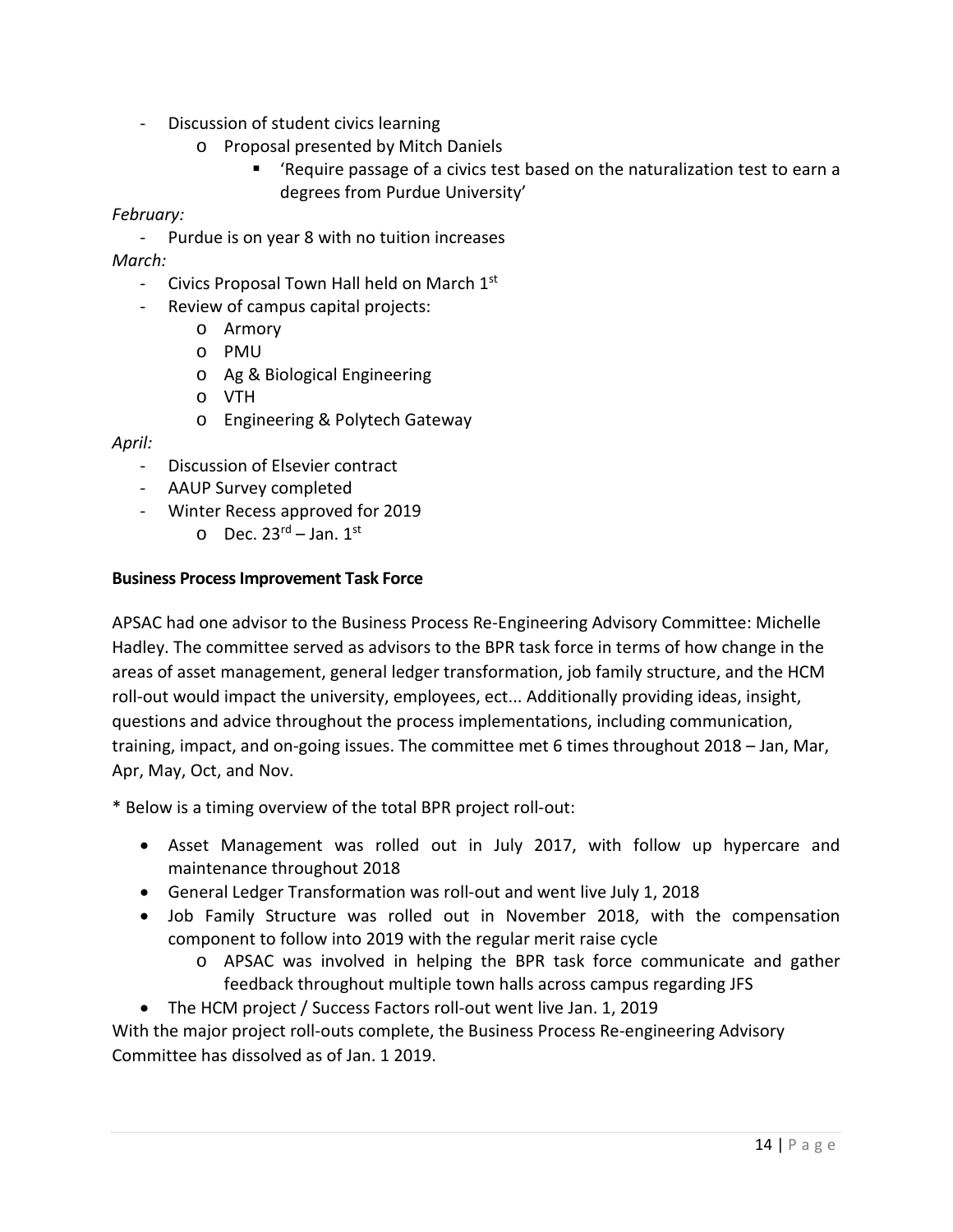- Discussion of student civics learning
	- o Proposal presented by Mitch Daniels
		- 'Require passage of a civics test based on the naturalization test to earn a degrees from Purdue University'

# *February:*

- Purdue is on year 8 with no tuition increases

*March:*

- Civics Proposal Town Hall held on March 1<sup>st</sup>
- Review of campus capital projects:
	- o Armory
	- o PMU
	- o Ag & Biological Engineering
	- o VTH
	- o Engineering & Polytech Gateway

*April:*

- Discussion of Elsevier contract
- AAUP Survey completed
- Winter Recess approved for 2019
	- $\circ$  Dec. 23<sup>rd</sup> Jan. 1<sup>st</sup>

# **Business Process Improvement Task Force**

APSAC had one advisor to the Business Process Re-Engineering Advisory Committee: Michelle Hadley. The committee served as advisors to the BPR task force in terms of how change in the areas of asset management, general ledger transformation, job family structure, and the HCM roll-out would impact the university, employees, ect... Additionally providing ideas, insight, questions and advice throughout the process implementations, including communication, training, impact, and on-going issues. The committee met 6 times throughout 2018 – Jan, Mar, Apr, May, Oct, and Nov.

\* Below is a timing overview of the total BPR project roll-out:

- Asset Management was rolled out in July 2017, with follow up hypercare and maintenance throughout 2018
- General Ledger Transformation was roll-out and went live July 1, 2018
- Job Family Structure was rolled out in November 2018, with the compensation component to follow into 2019 with the regular merit raise cycle
	- o APSAC was involved in helping the BPR task force communicate and gather feedback throughout multiple town halls across campus regarding JFS
- The HCM project / Success Factors roll-out went live Jan. 1, 2019

With the major project roll-outs complete, the Business Process Re-engineering Advisory Committee has dissolved as of Jan. 1 2019.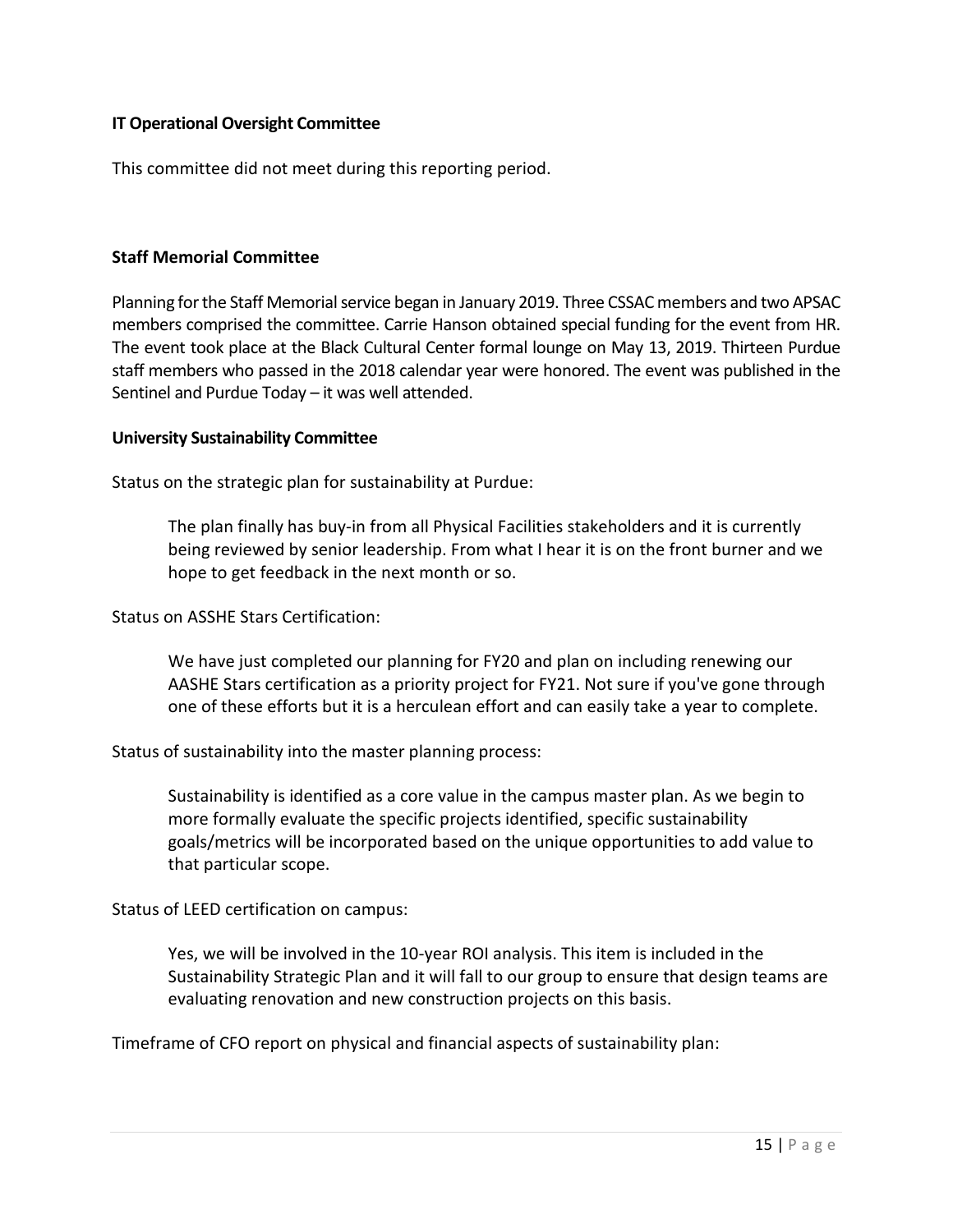# **IT Operational Oversight Committee**

This committee did not meet during this reporting period.

# **Staff Memorial Committee**

Planning for the Staff Memorial service began in January 2019. Three CSSAC members and two APSAC members comprised the committee. Carrie Hanson obtained special funding for the event from HR. The event took place at the Black Cultural Center formal lounge on May 13, 2019. Thirteen Purdue staff members who passed in the 2018 calendar year were honored. The event was published in the Sentinel and Purdue Today – it was well attended.

#### **University Sustainability Committee**

Status on the strategic plan for sustainability at Purdue:

The plan finally has buy-in from all Physical Facilities stakeholders and it is currently being reviewed by senior leadership. From what I hear it is on the front burner and we hope to get feedback in the next month or so.

Status on ASSHE Stars Certification:

We have just completed our planning for FY20 and plan on including renewing our AASHE Stars certification as a priority project for FY21. Not sure if you've gone through one of these efforts but it is a herculean effort and can easily take a year to complete.

Status of sustainability into the master planning process:

Sustainability is identified as a core value in the campus master plan. As we begin to more formally evaluate the specific projects identified, specific sustainability goals/metrics will be incorporated based on the unique opportunities to add value to that particular scope.

# Status of LEED certification on campus:

Yes, we will be involved in the 10-year ROI analysis. This item is included in the Sustainability Strategic Plan and it will fall to our group to ensure that design teams are evaluating renovation and new construction projects on this basis.

Timeframe of CFO report on physical and financial aspects of sustainability plan: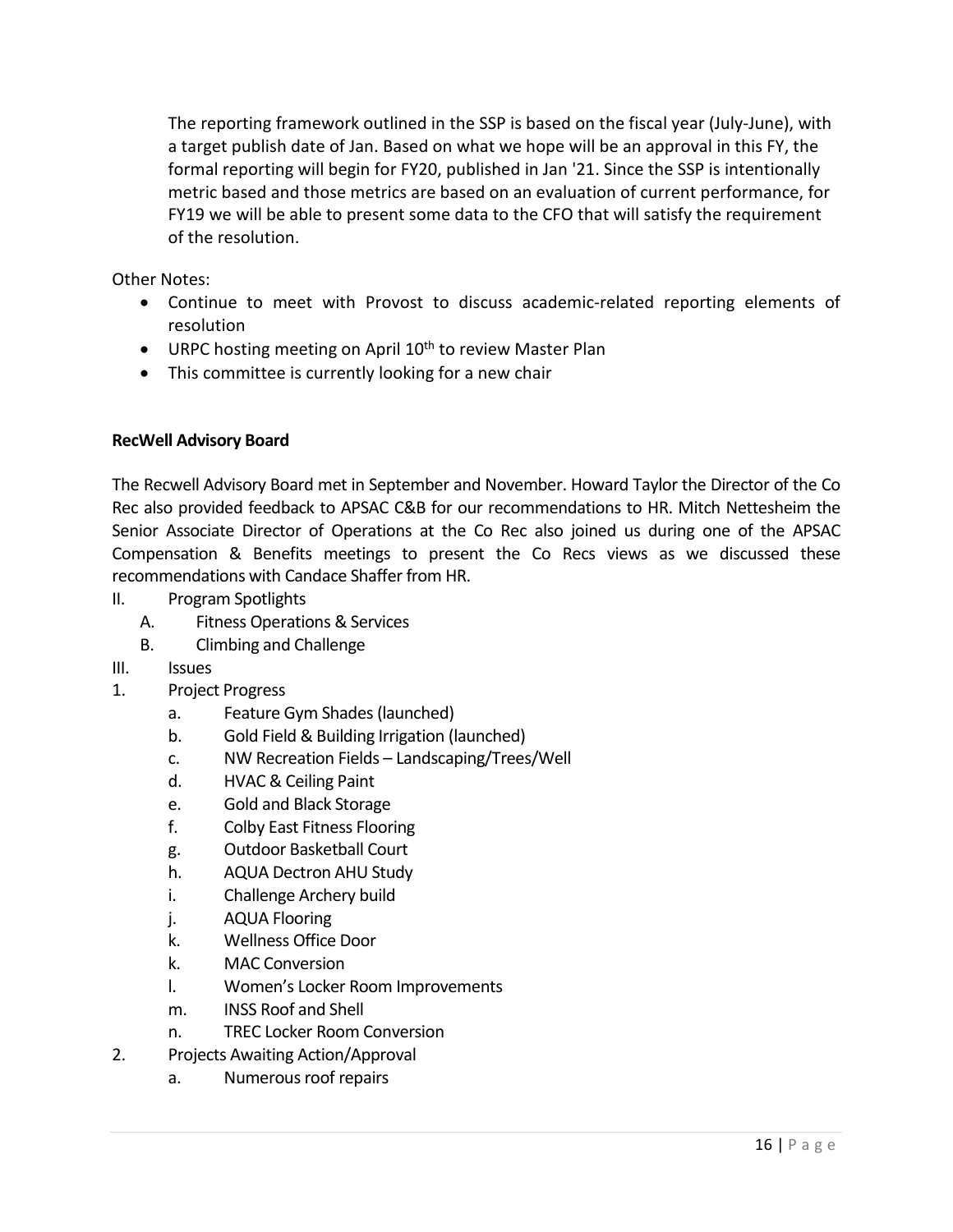The reporting framework outlined in the SSP is based on the fiscal year (July-June), with a target publish date of Jan. Based on what we hope will be an approval in this FY, the formal reporting will begin for FY20, published in Jan '21. Since the SSP is intentionally metric based and those metrics are based on an evaluation of current performance, for FY19 we will be able to present some data to the CFO that will satisfy the requirement of the resolution.

Other Notes:

- Continue to meet with Provost to discuss academic-related reporting elements of resolution
- $\bullet$  URPC hosting meeting on April 10<sup>th</sup> to review Master Plan
- This committee is currently looking for a new chair

# **RecWell Advisory Board**

The Recwell Advisory Board met in September and November. Howard Taylor the Director of the Co Rec also provided feedback to APSAC C&B for our recommendations to HR. Mitch Nettesheim the Senior Associate Director of Operations at the Co Rec also joined us during one of the APSAC Compensation & Benefits meetings to present the Co Recs views as we discussed these recommendations with Candace Shaffer from HR.

- II. Program Spotlights
	- A. Fitness Operations & Services
	- B. Climbing and Challenge
- III. Issues

# 1. Project Progress

- a. Feature Gym Shades (launched)
- b. Gold Field & Building Irrigation (launched)
- c. NW Recreation Fields Landscaping/Trees/Well
- d. HVAC & Ceiling Paint
- e. Gold and Black Storage
- f. Colby East Fitness Flooring
- g. Outdoor Basketball Court
- h. AQUA Dectron AHU Study
- i. Challenge Archery build
- j. AQUA Flooring
- k. Wellness Office Door
- k. MAC Conversion
- l. Women's Locker Room Improvements
- m. INSS Roof and Shell
- n. TREC Locker Room Conversion
- 2. Projects Awaiting Action/Approval
	- a. Numerous roof repairs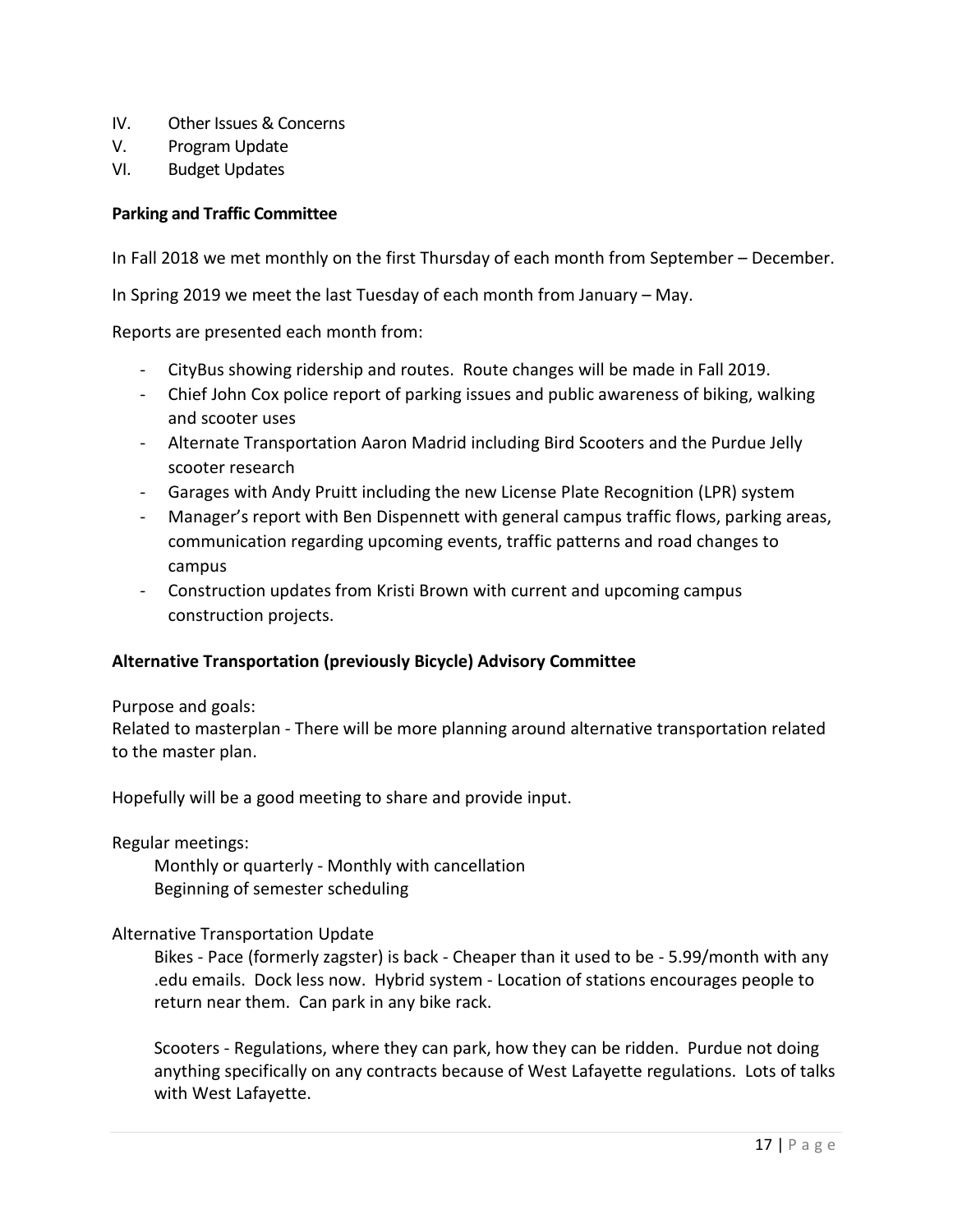- IV. Other Issues & Concerns
- V. Program Update
- VI. Budget Updates

# **Parking and Traffic Committee**

In Fall 2018 we met monthly on the first Thursday of each month from September – December.

In Spring 2019 we meet the last Tuesday of each month from January – May.

Reports are presented each month from:

- CityBus showing ridership and routes. Route changes will be made in Fall 2019.
- Chief John Cox police report of parking issues and public awareness of biking, walking and scooter uses
- Alternate Transportation Aaron Madrid including Bird Scooters and the Purdue Jelly scooter research
- Garages with Andy Pruitt including the new License Plate Recognition (LPR) system
- Manager's report with Ben Dispennett with general campus traffic flows, parking areas, communication regarding upcoming events, traffic patterns and road changes to campus
- Construction updates from Kristi Brown with current and upcoming campus construction projects.

# **Alternative Transportation (previously Bicycle) Advisory Committee**

Purpose and goals:

Related to masterplan - There will be more planning around alternative transportation related to the master plan.

Hopefully will be a good meeting to share and provide input.

# Regular meetings:

Monthly or quarterly - Monthly with cancellation Beginning of semester scheduling

# Alternative Transportation Update

Bikes - Pace (formerly zagster) is back - Cheaper than it used to be - 5.99/month with any .edu emails. Dock less now. Hybrid system - Location of stations encourages people to return near them. Can park in any bike rack.

Scooters - Regulations, where they can park, how they can be ridden. Purdue not doing anything specifically on any contracts because of West Lafayette regulations. Lots of talks with West Lafayette.